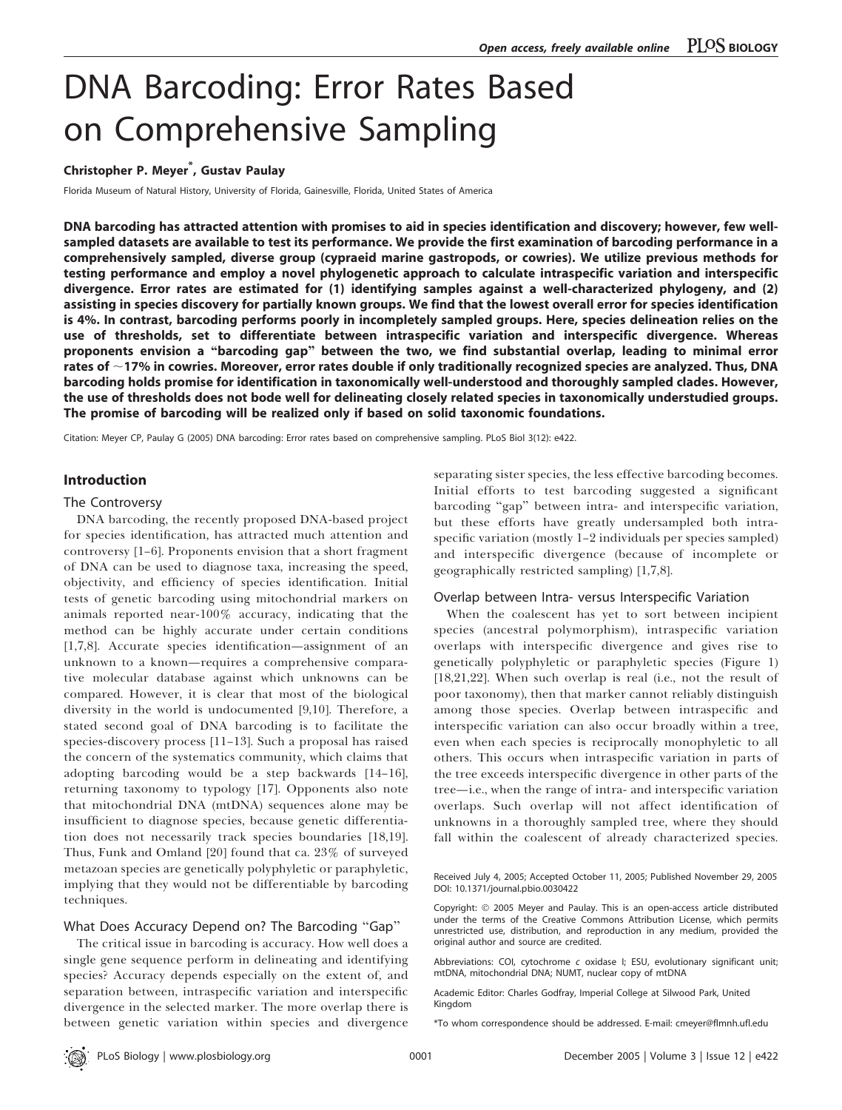# DNA Barcoding: Error Rates Based on Comprehensive Sampling

# Christopher P. Meyer\* , Gustav Paulay

Florida Museum of Natural History, University of Florida, Gainesville, Florida, United States of America

DNA barcoding has attracted attention with promises to aid in species identification and discovery; however, few wellsampled datasets are available to test its performance. We provide the first examination of barcoding performance in a comprehensively sampled, diverse group (cypraeid marine gastropods, or cowries). We utilize previous methods for testing performance and employ a novel phylogenetic approach to calculate intraspecific variation and interspecific divergence. Error rates are estimated for (1) identifying samples against a well-characterized phylogeny, and (2) assisting in species discovery for partially known groups. We find that the lowest overall error for species identification is 4%. In contrast, barcoding performs poorly in incompletely sampled groups. Here, species delineation relies on the use of thresholds, set to differentiate between intraspecific variation and interspecific divergence. Whereas proponents envision a ''barcoding gap'' between the two, we find substantial overlap, leading to minimal error rates of  $\sim$ 17% in cowries. Moreover, error rates double if only traditionally recognized species are analyzed. Thus, DNA barcoding holds promise for identification in taxonomically well-understood and thoroughly sampled clades. However, the use of thresholds does not bode well for delineating closely related species in taxonomically understudied groups. The promise of barcoding will be realized only if based on solid taxonomic foundations.

Citation: Meyer CP, Paulay G (2005) DNA barcoding: Error rates based on comprehensive sampling. PLoS Biol 3(12): e422.

# Introduction

# The Controversy

DNA barcoding, the recently proposed DNA-based project for species identification, has attracted much attention and controversy [1–6]. Proponents envision that a short fragment of DNA can be used to diagnose taxa, increasing the speed, objectivity, and efficiency of species identification. Initial tests of genetic barcoding using mitochondrial markers on animals reported near-100% accuracy, indicating that the method can be highly accurate under certain conditions [1,7,8]. Accurate species identification—assignment of an unknown to a known—requires a comprehensive comparative molecular database against which unknowns can be compared. However, it is clear that most of the biological diversity in the world is undocumented [9,10]. Therefore, a stated second goal of DNA barcoding is to facilitate the species-discovery process [11–13]. Such a proposal has raised the concern of the systematics community, which claims that adopting barcoding would be a step backwards [14–16], returning taxonomy to typology [17]. Opponents also note that mitochondrial DNA (mtDNA) sequences alone may be insufficient to diagnose species, because genetic differentiation does not necessarily track species boundaries [18,19]. Thus, Funk and Omland [20] found that ca. 23% of surveyed metazoan species are genetically polyphyletic or paraphyletic, implying that they would not be differentiable by barcoding techniques.

## What Does Accuracy Depend on? The Barcoding ''Gap''

The critical issue in barcoding is accuracy. How well does a single gene sequence perform in delineating and identifying species? Accuracy depends especially on the extent of, and separation between, intraspecific variation and interspecific divergence in the selected marker. The more overlap there is between genetic variation within species and divergence separating sister species, the less effective barcoding becomes. Initial efforts to test barcoding suggested a significant barcoding ''gap'' between intra- and interspecific variation, but these efforts have greatly undersampled both intraspecific variation (mostly 1–2 individuals per species sampled) and interspecific divergence (because of incomplete or geographically restricted sampling) [1,7,8].

## Overlap between Intra- versus Interspecific Variation

When the coalescent has yet to sort between incipient species (ancestral polymorphism), intraspecific variation overlaps with interspecific divergence and gives rise to genetically polyphyletic or paraphyletic species (Figure 1) [18,21,22]. When such overlap is real (i.e., not the result of poor taxonomy), then that marker cannot reliably distinguish among those species. Overlap between intraspecific and interspecific variation can also occur broadly within a tree, even when each species is reciprocally monophyletic to all others. This occurs when intraspecific variation in parts of the tree exceeds interspecific divergence in other parts of the tree—i.e., when the range of intra- and interspecific variation overlaps. Such overlap will not affect identification of unknowns in a thoroughly sampled tree, where they should fall within the coalescent of already characterized species.

Received July 4, 2005; Accepted October 11, 2005; Published November 29, 2005 DOI: 10.1371/journal.pbio.0030422

Copyright: @ 2005 Meyer and Paulay. This is an open-access article distributed under the terms of the Creative Commons Attribution License, which permits unrestricted use, distribution, and reproduction in any medium, provided the original author and source are credited.

Abbreviations: COI, cytochrome c oxidase I; ESU, evolutionary significant unit; mtDNA, mitochondrial DNA; NUMT, nuclear copy of mtDNA

Academic Editor: Charles Godfray, Imperial College at Silwood Park, United Kingdom

\*To whom correspondence should be addressed. E-mail: cmeyer@flmnh.ufl.edu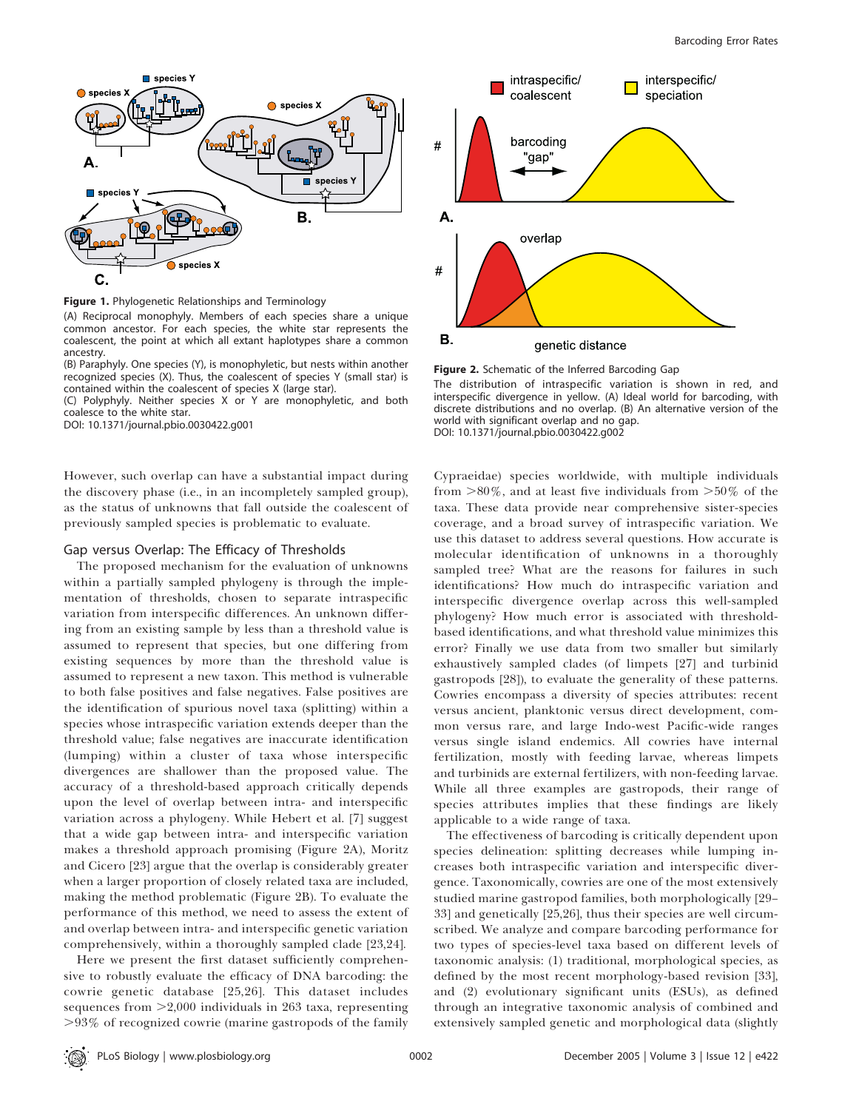

**Figure 1.** Phylogenetic Relationships and Terminology

(A) Reciprocal monophyly. Members of each species share a unique common ancestor. For each species, the white star represents the coalescent, the point at which all extant haplotypes share a common ancestry.

(B) Paraphyly. One species (Y), is monophyletic, but nests within another recognized species (X). Thus, the coalescent of species Y (small star) is contained within the coalescent of species X (large star).

(C) Polyphyly. Neither species X or Y are monophyletic, and both coalesce to the white star.

DOI: 10.1371/journal.pbio.0030422.g001

However, such overlap can have a substantial impact during the discovery phase (i.e., in an incompletely sampled group), as the status of unknowns that fall outside the coalescent of previously sampled species is problematic to evaluate.

#### Gap versus Overlap: The Efficacy of Thresholds

The proposed mechanism for the evaluation of unknowns within a partially sampled phylogeny is through the implementation of thresholds, chosen to separate intraspecific variation from interspecific differences. An unknown differing from an existing sample by less than a threshold value is assumed to represent that species, but one differing from existing sequences by more than the threshold value is assumed to represent a new taxon. This method is vulnerable to both false positives and false negatives. False positives are the identification of spurious novel taxa (splitting) within a species whose intraspecific variation extends deeper than the threshold value; false negatives are inaccurate identification (lumping) within a cluster of taxa whose interspecific divergences are shallower than the proposed value. The accuracy of a threshold-based approach critically depends upon the level of overlap between intra- and interspecific variation across a phylogeny. While Hebert et al. [7] suggest that a wide gap between intra- and interspecific variation makes a threshold approach promising (Figure 2A), Moritz and Cicero [23] argue that the overlap is considerably greater when a larger proportion of closely related taxa are included, making the method problematic (Figure 2B). To evaluate the performance of this method, we need to assess the extent of and overlap between intra- and interspecific genetic variation comprehensively, within a thoroughly sampled clade [23,24].

Here we present the first dataset sufficiently comprehensive to robustly evaluate the efficacy of DNA barcoding: the cowrie genetic database [25,26]. This dataset includes sequences from  $\geq 2,000$  individuals in 263 taxa, representing .93% of recognized cowrie (marine gastropods of the family



Figure 2. Schematic of the Inferred Barcoding Gap The distribution of intraspecific variation is shown in red, and interspecific divergence in yellow. (A) Ideal world for barcoding, with discrete distributions and no overlap. (B) An alternative version of the world with significant overlap and no gap.

DOI: 10.1371/journal.pbio.0030422.g002

Cypraeidae) species worldwide, with multiple individuals from  $>80\%$ , and at least five individuals from  $>50\%$  of the taxa. These data provide near comprehensive sister-species coverage, and a broad survey of intraspecific variation. We use this dataset to address several questions. How accurate is molecular identification of unknowns in a thoroughly sampled tree? What are the reasons for failures in such identifications? How much do intraspecific variation and interspecific divergence overlap across this well-sampled phylogeny? How much error is associated with thresholdbased identifications, and what threshold value minimizes this error? Finally we use data from two smaller but similarly exhaustively sampled clades (of limpets [27] and turbinid gastropods [28]), to evaluate the generality of these patterns. Cowries encompass a diversity of species attributes: recent versus ancient, planktonic versus direct development, common versus rare, and large Indo-west Pacific-wide ranges versus single island endemics. All cowries have internal fertilization, mostly with feeding larvae, whereas limpets and turbinids are external fertilizers, with non-feeding larvae. While all three examples are gastropods, their range of species attributes implies that these findings are likely applicable to a wide range of taxa.

The effectiveness of barcoding is critically dependent upon species delineation: splitting decreases while lumping increases both intraspecific variation and interspecific divergence. Taxonomically, cowries are one of the most extensively studied marine gastropod families, both morphologically [29– 33] and genetically [25,26], thus their species are well circumscribed. We analyze and compare barcoding performance for two types of species-level taxa based on different levels of taxonomic analysis: (1) traditional, morphological species, as defined by the most recent morphology-based revision [33], and (2) evolutionary significant units (ESUs), as defined through an integrative taxonomic analysis of combined and extensively sampled genetic and morphological data (slightly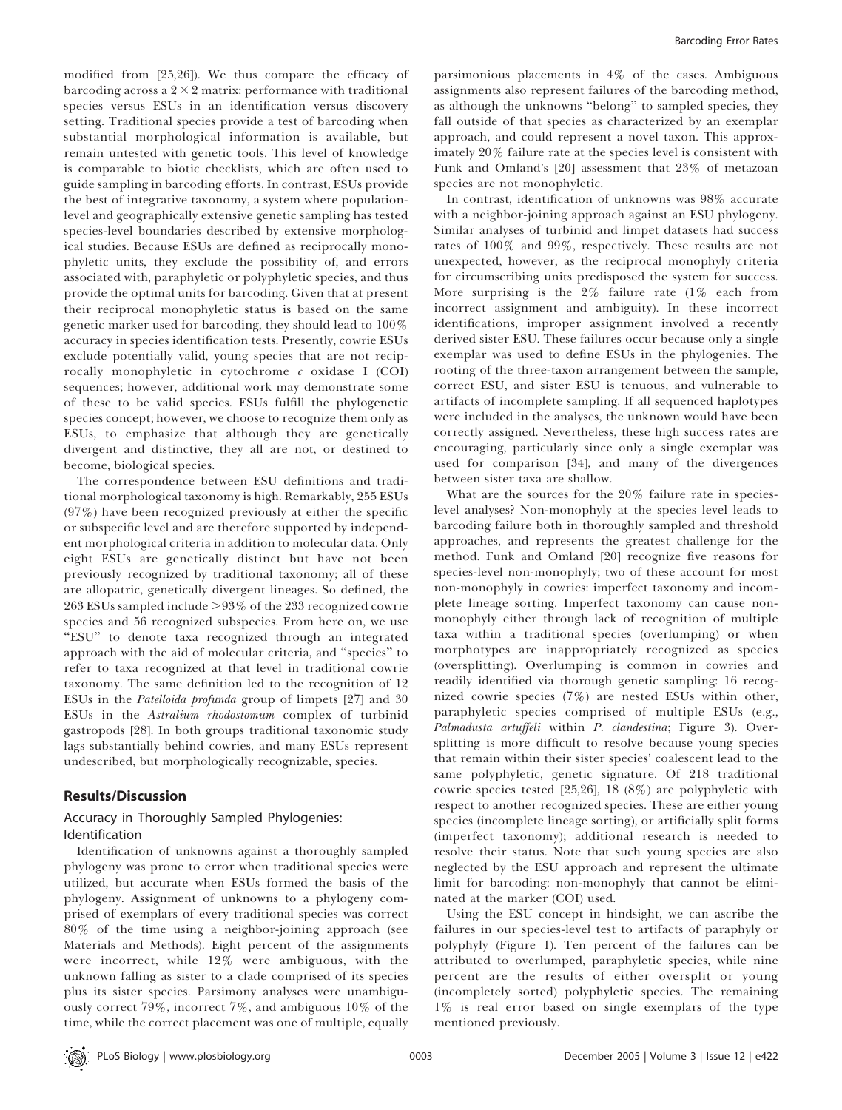modified from [25,26]). We thus compare the efficacy of barcoding across a  $2 \times 2$  matrix: performance with traditional species versus ESUs in an identification versus discovery setting. Traditional species provide a test of barcoding when substantial morphological information is available, but remain untested with genetic tools. This level of knowledge is comparable to biotic checklists, which are often used to guide sampling in barcoding efforts. In contrast, ESUs provide the best of integrative taxonomy, a system where populationlevel and geographically extensive genetic sampling has tested species-level boundaries described by extensive morphological studies. Because ESUs are defined as reciprocally monophyletic units, they exclude the possibility of, and errors associated with, paraphyletic or polyphyletic species, and thus provide the optimal units for barcoding. Given that at present their reciprocal monophyletic status is based on the same genetic marker used for barcoding, they should lead to 100% accuracy in species identification tests. Presently, cowrie ESUs exclude potentially valid, young species that are not reciprocally monophyletic in cytochrome  $c$  oxidase I (COI) sequences; however, additional work may demonstrate some of these to be valid species. ESUs fulfill the phylogenetic species concept; however, we choose to recognize them only as ESUs, to emphasize that although they are genetically divergent and distinctive, they all are not, or destined to become, biological species.

The correspondence between ESU definitions and traditional morphological taxonomy is high. Remarkably, 255 ESUs (97%) have been recognized previously at either the specific or subspecific level and are therefore supported by independent morphological criteria in addition to molecular data. Only eight ESUs are genetically distinct but have not been previously recognized by traditional taxonomy; all of these are allopatric, genetically divergent lineages. So defined, the  $263$  ESUs sampled include  $>93\%$  of the 233 recognized cowrie species and 56 recognized subspecies. From here on, we use "ESU" to denote taxa recognized through an integrated approach with the aid of molecular criteria, and ''species'' to refer to taxa recognized at that level in traditional cowrie taxonomy. The same definition led to the recognition of 12 ESUs in the *Patelloida profunda* group of limpets [27] and 30 ESUs in the Astralium rhodostomum complex of turbinid gastropods [28]. In both groups traditional taxonomic study lags substantially behind cowries, and many ESUs represent undescribed, but morphologically recognizable, species.

# Results/Discussion

# Accuracy in Thoroughly Sampled Phylogenies: Identification

Identification of unknowns against a thoroughly sampled phylogeny was prone to error when traditional species were utilized, but accurate when ESUs formed the basis of the phylogeny. Assignment of unknowns to a phylogeny comprised of exemplars of every traditional species was correct 80% of the time using a neighbor-joining approach (see Materials and Methods). Eight percent of the assignments were incorrect, while 12% were ambiguous, with the unknown falling as sister to a clade comprised of its species plus its sister species. Parsimony analyses were unambiguously correct 79%, incorrect 7%, and ambiguous 10% of the time, while the correct placement was one of multiple, equally

parsimonious placements in 4% of the cases. Ambiguous assignments also represent failures of the barcoding method, as although the unknowns ''belong'' to sampled species, they fall outside of that species as characterized by an exemplar approach, and could represent a novel taxon. This approximately 20% failure rate at the species level is consistent with Funk and Omland's [20] assessment that 23% of metazoan species are not monophyletic.

In contrast, identification of unknowns was 98% accurate with a neighbor-joining approach against an ESU phylogeny. Similar analyses of turbinid and limpet datasets had success rates of 100% and 99%, respectively. These results are not unexpected, however, as the reciprocal monophyly criteria for circumscribing units predisposed the system for success. More surprising is the 2% failure rate (1% each from incorrect assignment and ambiguity). In these incorrect identifications, improper assignment involved a recently derived sister ESU. These failures occur because only a single exemplar was used to define ESUs in the phylogenies. The rooting of the three-taxon arrangement between the sample, correct ESU, and sister ESU is tenuous, and vulnerable to artifacts of incomplete sampling. If all sequenced haplotypes were included in the analyses, the unknown would have been correctly assigned. Nevertheless, these high success rates are encouraging, particularly since only a single exemplar was used for comparison [34], and many of the divergences between sister taxa are shallow.

What are the sources for the 20% failure rate in specieslevel analyses? Non-monophyly at the species level leads to barcoding failure both in thoroughly sampled and threshold approaches, and represents the greatest challenge for the method. Funk and Omland [20] recognize five reasons for species-level non-monophyly; two of these account for most non-monophyly in cowries: imperfect taxonomy and incomplete lineage sorting. Imperfect taxonomy can cause nonmonophyly either through lack of recognition of multiple taxa within a traditional species (overlumping) or when morphotypes are inappropriately recognized as species (oversplitting). Overlumping is common in cowries and readily identified via thorough genetic sampling: 16 recognized cowrie species (7%) are nested ESUs within other, paraphyletic species comprised of multiple ESUs (e.g., Palmadusta artuffeli within P. clandestina; Figure 3). Oversplitting is more difficult to resolve because young species that remain within their sister species' coalescent lead to the same polyphyletic, genetic signature. Of 218 traditional cowrie species tested [25,26], 18 (8%) are polyphyletic with respect to another recognized species. These are either young species (incomplete lineage sorting), or artificially split forms (imperfect taxonomy); additional research is needed to resolve their status. Note that such young species are also neglected by the ESU approach and represent the ultimate limit for barcoding: non-monophyly that cannot be eliminated at the marker (COI) used.

Using the ESU concept in hindsight, we can ascribe the failures in our species-level test to artifacts of paraphyly or polyphyly (Figure 1). Ten percent of the failures can be attributed to overlumped, paraphyletic species, while nine percent are the results of either oversplit or young (incompletely sorted) polyphyletic species. The remaining 1% is real error based on single exemplars of the type mentioned previously.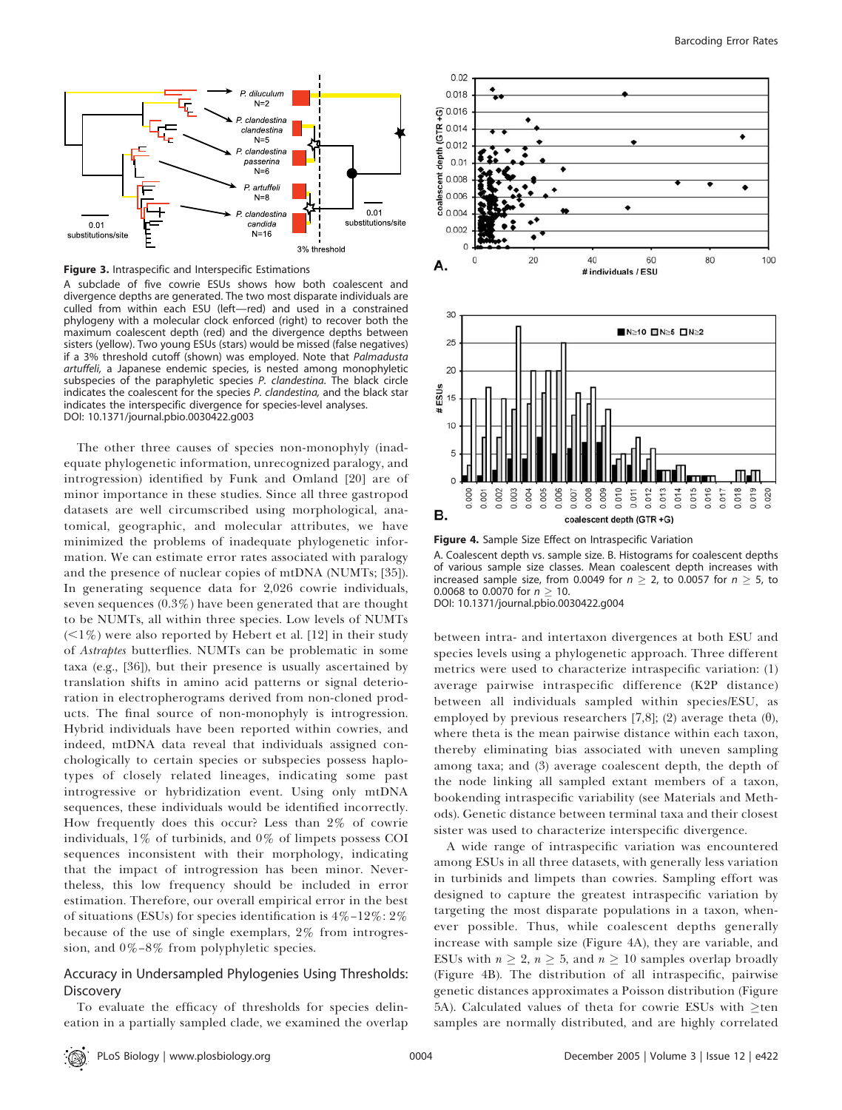

Figure 3. Intraspecific and Interspecific Estimations

A subclade of five cowrie ESUs shows how both coalescent and divergence depths are generated. The two most disparate individuals are culled from within each ESU (left—red) and used in a constrained phylogeny with a molecular clock enforced (right) to recover both the maximum coalescent depth (red) and the divergence depths between sisters (yellow). Two young ESUs (stars) would be missed (false negatives) if a 3% threshold cutoff (shown) was employed. Note that Palmadusta artuffeli, a Japanese endemic species, is nested among monophyletic subspecies of the paraphyletic species P. clandestina. The black circle indicates the coalescent for the species P. clandestina, and the black star indicates the interspecific divergence for species-level analyses. DOI: 10.1371/journal.pbio.0030422.g003

The other three causes of species non-monophyly (inadequate phylogenetic information, unrecognized paralogy, and introgression) identified by Funk and Omland [20] are of minor importance in these studies. Since all three gastropod datasets are well circumscribed using morphological, anatomical, geographic, and molecular attributes, we have minimized the problems of inadequate phylogenetic information. We can estimate error rates associated with paralogy and the presence of nuclear copies of mtDNA (NUMTs; [35]). In generating sequence data for 2,026 cowrie individuals, seven sequences (0.3%) have been generated that are thought to be NUMTs, all within three species. Low levels of NUMTs  $(<1%)$  were also reported by Hebert et al. [12] in their study of Astraptes butterflies. NUMTs can be problematic in some taxa (e.g., [36]), but their presence is usually ascertained by translation shifts in amino acid patterns or signal deterioration in electropherograms derived from non-cloned products. The final source of non-monophyly is introgression. Hybrid individuals have been reported within cowries, and indeed, mtDNA data reveal that individuals assigned conchologically to certain species or subspecies possess haplotypes of closely related lineages, indicating some past introgressive or hybridization event. Using only mtDNA sequences, these individuals would be identified incorrectly. How frequently does this occur? Less than 2% of cowrie individuals, 1% of turbinids, and 0% of limpets possess COI sequences inconsistent with their morphology, indicating that the impact of introgression has been minor. Nevertheless, this low frequency should be included in error estimation. Therefore, our overall empirical error in the best of situations (ESUs) for species identification is 4%–12%: 2% because of the use of single exemplars, 2% from introgression, and 0%–8% from polyphyletic species.

# Accuracy in Undersampled Phylogenies Using Thresholds: **Discovery**

To evaluate the efficacy of thresholds for species delineation in a partially sampled clade, we examined the overlap



A. Coalescent depth vs. sample size. B. Histograms for coalescent depths of various sample size classes. Mean coalescent depth increases with increased sample size, from 0.0049 for  $n \ge 2$ , to 0.0057 for  $n \ge 5$ , to 0.0068 to 0.0070 for  $n \ge 10$ .

DOI: 10.1371/journal.pbio.0030422.g004

between intra- and intertaxon divergences at both ESU and species levels using a phylogenetic approach. Three different metrics were used to characterize intraspecific variation: (1) average pairwise intraspecific difference (K2P distance) between all individuals sampled within species/ESU, as employed by previous researchers [7,8]; (2) average theta  $(\theta)$ , where theta is the mean pairwise distance within each taxon, thereby eliminating bias associated with uneven sampling among taxa; and (3) average coalescent depth, the depth of the node linking all sampled extant members of a taxon, bookending intraspecific variability (see Materials and Methods). Genetic distance between terminal taxa and their closest sister was used to characterize interspecific divergence.

A wide range of intraspecific variation was encountered among ESUs in all three datasets, with generally less variation in turbinids and limpets than cowries. Sampling effort was designed to capture the greatest intraspecific variation by targeting the most disparate populations in a taxon, whenever possible. Thus, while coalescent depths generally increase with sample size (Figure 4A), they are variable, and ESUs with  $n \geq 2$ ,  $n \geq 5$ , and  $n \geq 10$  samples overlap broadly (Figure 4B). The distribution of all intraspecific, pairwise genetic distances approximates a Poisson distribution (Figure 5A). Calculated values of theta for cowrie ESUs with  $\ge$ ten samples are normally distributed, and are highly correlated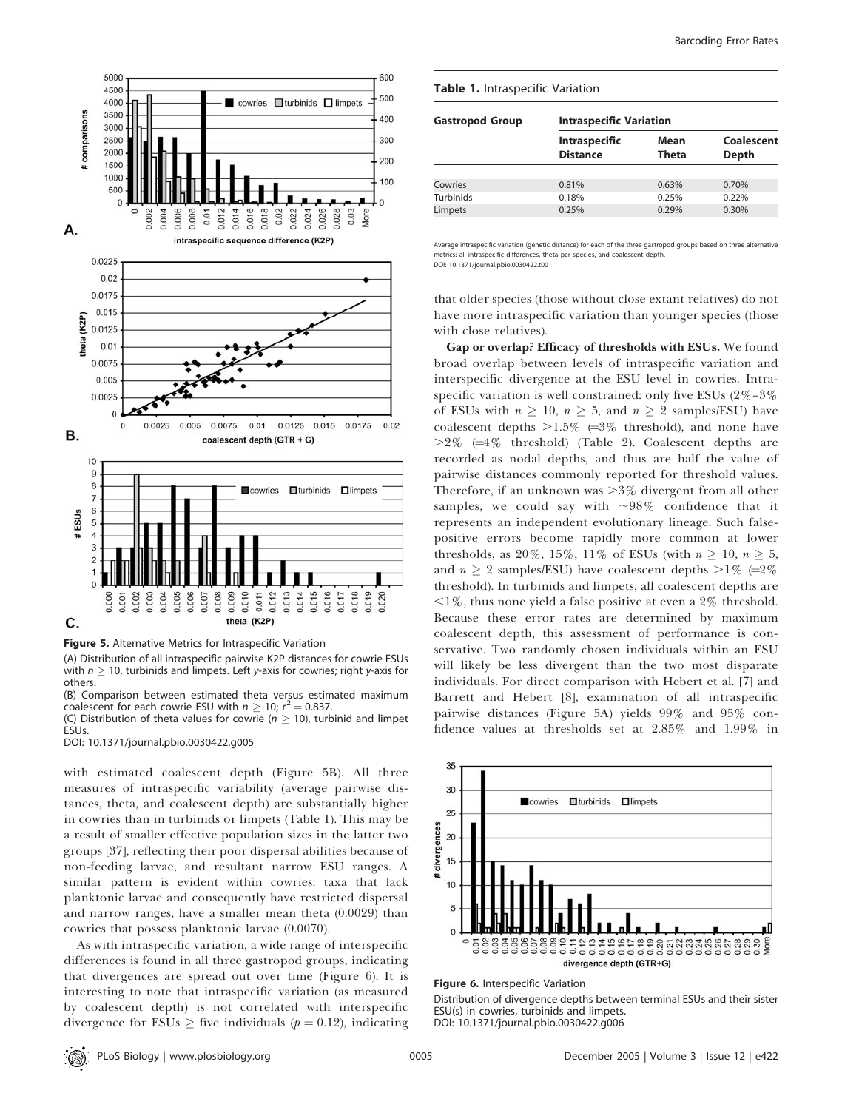

Figure 5. Alternative Metrics for Intraspecific Variation

(A) Distribution of all intraspecific pairwise K2P distances for cowrie ESUs with  $n \geq 10$ , turbinids and limpets. Left y-axis for cowries; right y-axis for others.

(B) Comparison between estimated theta versus estimated maximum coalescent for each cowrie ESU with  $n \geq 10$ ;  $r^2 = 0.837$ .

(C) Distribution of theta values for cowrie ( $n \ge 10$ ), turbinid and limpet ESUs.

DOI: 10.1371/journal.pbio.0030422.g005

with estimated coalescent depth (Figure 5B). All three measures of intraspecific variability (average pairwise distances, theta, and coalescent depth) are substantially higher in cowries than in turbinids or limpets (Table 1). This may be a result of smaller effective population sizes in the latter two groups [37], reflecting their poor dispersal abilities because of non-feeding larvae, and resultant narrow ESU ranges. A similar pattern is evident within cowries: taxa that lack planktonic larvae and consequently have restricted dispersal and narrow ranges, have a smaller mean theta (0.0029) than cowries that possess planktonic larvae (0.0070).

As with intraspecific variation, a wide range of interspecific differences is found in all three gastropod groups, indicating that divergences are spread out over time (Figure 6). It is interesting to note that intraspecific variation (as measured by coalescent depth) is not correlated with interspecific divergence for ESUs  $\geq$  five individuals ( $p = 0.12$ ), indicating

#### Table 1. Intraspecific Variation

| <b>Gastropod Group</b> | <b>Intraspecific Variation</b>          |               |                            |  |
|------------------------|-----------------------------------------|---------------|----------------------------|--|
|                        | <b>Intraspecific</b><br><b>Distance</b> | Mean<br>Theta | Coalescent<br><b>Depth</b> |  |
|                        |                                         |               |                            |  |
| Cowries                | 0.81%                                   | 0.63%         | 0.70%                      |  |
| <b>Turbinids</b>       | 0.18%                                   | 0.25%         | 0.22%                      |  |
| Limpets                | 0.25%                                   | 0.29%         | 0.30%                      |  |

Average intraspecific variation (genetic distance) for each of the three gastropod groups based on three alternative metrics: all intraspecific differences, theta per species, and coalescent depth. DOI: 10.1371/journal.pbio.0030422.t001

that older species (those without close extant relatives) do not have more intraspecific variation than younger species (those with close relatives).

Gap or overlap? Efficacy of thresholds with ESUs. We found broad overlap between levels of intraspecific variation and interspecific divergence at the ESU level in cowries. Intraspecific variation is well constrained: only five ESUs  $(2\% - 3\%)$ of ESUs with  $n \ge 10$ ,  $n \ge 5$ , and  $n \ge 2$  samples/ESU) have coalescent depths  $>1.5\%$  (=3% threshold), and none have  $>2\%$  ( $=4\%$  threshold) (Table 2). Coalescent depths are recorded as nodal depths, and thus are half the value of pairwise distances commonly reported for threshold values. Therefore, if an unknown was  $>3\%$  divergent from all other samples, we could say with  $\sim 98\%$  confidence that it represents an independent evolutionary lineage. Such falsepositive errors become rapidly more common at lower thresholds, as 20%, 15%, 11% of ESUs (with  $n \ge 10$ ,  $n \ge 5$ , and  $n \geq 2$  samples/ESU) have coalescent depths  $>1\%$  (=2%) threshold). In turbinids and limpets, all coalescent depths are  $\leq$ 1%, thus none yield a false positive at even a 2% threshold. Because these error rates are determined by maximum coalescent depth, this assessment of performance is conservative. Two randomly chosen individuals within an ESU will likely be less divergent than the two most disparate individuals. For direct comparison with Hebert et al. [7] and Barrett and Hebert [8], examination of all intraspecific pairwise distances (Figure 5A) yields 99% and 95% confidence values at thresholds set at 2.85% and 1.99% in





Distribution of divergence depths between terminal ESUs and their sister ESU(s) in cowries, turbinids and limpets. DOI: 10.1371/journal.pbio.0030422.g006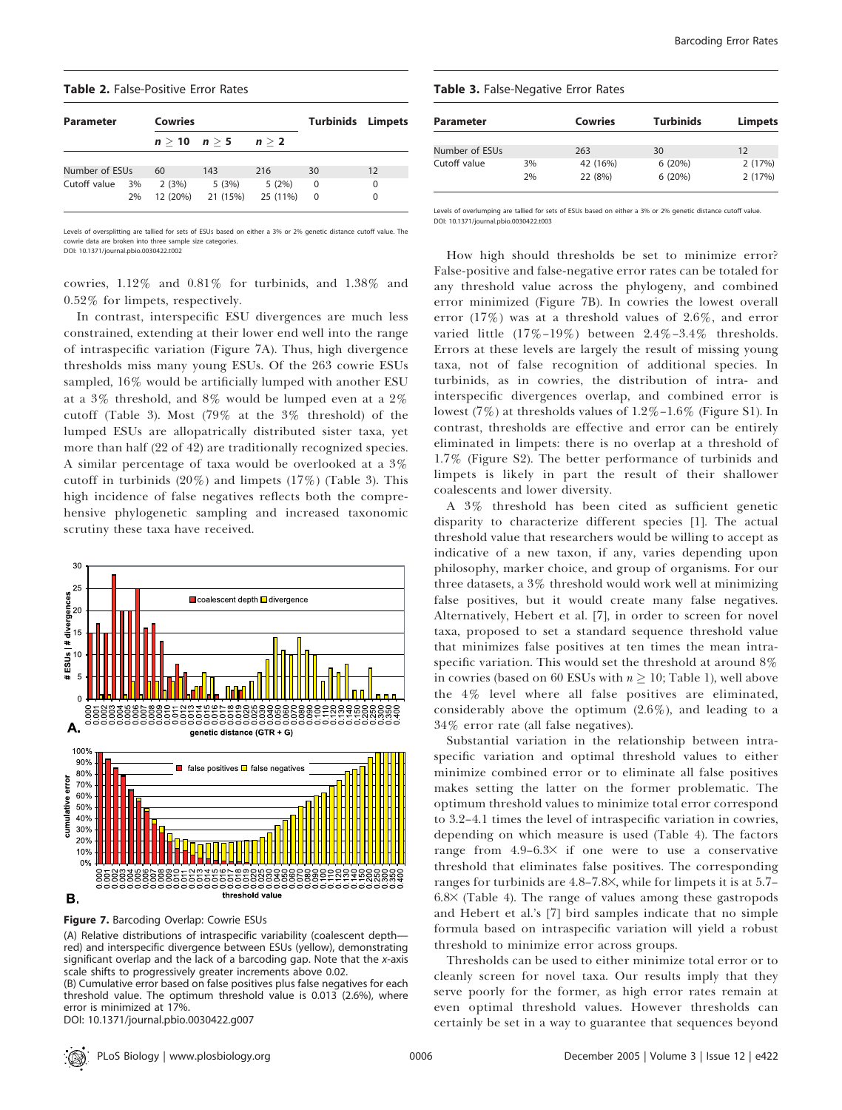|                | <b>Cowries</b> |          |                              | <b>Turbinids Limpets</b> |          |
|----------------|----------------|----------|------------------------------|--------------------------|----------|
|                |                |          | n > 2                        |                          |          |
|                |                |          |                              |                          |          |
| Number of ESUs | 60             | 143      | 216                          | 30                       | 12       |
| 3%             | 2(3%)          | 5(3%)    | 5(2%)                        | 0                        | 0        |
|                | 2%             | 12 (20%) | $n > 10$ $n > 5$<br>21 (15%) | 25 (11%)                 | $\Omega$ |

Table 2. False-Positive Error Rates

Levels of oversplitting are tallied for sets of ESUs based on either a 3% or 2% genetic distance cutoff value. The cowrie data are broken into three sample size categories. DOI: 10.1371/journal.pbio.0030422.t002

cowries, 1.12% and 0.81% for turbinids, and 1.38% and 0.52% for limpets, respectively.

In contrast, interspecific ESU divergences are much less constrained, extending at their lower end well into the range of intraspecific variation (Figure 7A). Thus, high divergence thresholds miss many young ESUs. Of the 263 cowrie ESUs sampled, 16% would be artificially lumped with another ESU at a 3% threshold, and 8% would be lumped even at a 2% cutoff (Table 3). Most (79% at the 3% threshold) of the lumped ESUs are allopatrically distributed sister taxa, yet more than half (22 of 42) are traditionally recognized species. A similar percentage of taxa would be overlooked at a 3% cutoff in turbinids  $(20\%)$  and limpets  $(17\%)$  (Table 3). This high incidence of false negatives reflects both the comprehensive phylogenetic sampling and increased taxonomic scrutiny these taxa have received.



Figure 7. Barcoding Overlap: Cowrie ESUs

(A) Relative distributions of intraspecific variability (coalescent depth red) and interspecific divergence between ESUs (yellow), demonstrating significant overlap and the lack of a barcoding gap. Note that the x-axis scale shifts to progressively greater increments above 0.02.

(B) Cumulative error based on false positives plus false negatives for each threshold value. The optimum threshold value is 0.013 (2.6%), where error is minimized at 17%.

DOI: 10.1371/journal.pbio.0030422.g007

# Table 3. False-Negative Error Rates

| Parameter      |    | Cowries  | <b>Turbinids</b> | <b>Limpets</b> |
|----------------|----|----------|------------------|----------------|
| Number of ESUs |    | 263      | 30               | 12             |
| Cutoff value   | 3% | 42 (16%) | 6(20%)           | 2(17%)         |
|                | 2% | 22 (8%)  | 6(20%)           | 2(17%)         |

Levels of overlumping are tallied for sets of ESUs based on either a 3% or 2% genetic distance cutoff value. DOI: 10.1371/journal.pbio.0030422.t003

How high should thresholds be set to minimize error? False-positive and false-negative error rates can be totaled for any threshold value across the phylogeny, and combined error minimized (Figure 7B). In cowries the lowest overall error (17%) was at a threshold values of 2.6%, and error varied little (17%–19%) between 2.4%–3.4% thresholds. Errors at these levels are largely the result of missing young taxa, not of false recognition of additional species. In turbinids, as in cowries, the distribution of intra- and interspecific divergences overlap, and combined error is lowest (7%) at thresholds values of 1.2%–1.6% (Figure S1). In contrast, thresholds are effective and error can be entirely eliminated in limpets: there is no overlap at a threshold of 1.7% (Figure S2). The better performance of turbinids and limpets is likely in part the result of their shallower coalescents and lower diversity.

A 3% threshold has been cited as sufficient genetic disparity to characterize different species [1]. The actual threshold value that researchers would be willing to accept as indicative of a new taxon, if any, varies depending upon philosophy, marker choice, and group of organisms. For our three datasets, a 3% threshold would work well at minimizing false positives, but it would create many false negatives. Alternatively, Hebert et al. [7], in order to screen for novel taxa, proposed to set a standard sequence threshold value that minimizes false positives at ten times the mean intraspecific variation. This would set the threshold at around 8% in cowries (based on 60 ESUs with  $n \ge 10$ ; Table 1), well above the 4% level where all false positives are eliminated, considerably above the optimum (2.6%), and leading to a 34% error rate (all false negatives).

Substantial variation in the relationship between intraspecific variation and optimal threshold values to either minimize combined error or to eliminate all false positives makes setting the latter on the former problematic. The optimum threshold values to minimize total error correspond to 3.2–4.1 times the level of intraspecific variation in cowries, depending on which measure is used (Table 4). The factors range from  $4.9-6.3\times$  if one were to use a conservative threshold that eliminates false positives. The corresponding ranges for turbinids are 4.8-7.8×, while for limpets it is at 5.7-6.83 (Table 4). The range of values among these gastropods and Hebert et al.'s [7] bird samples indicate that no simple formula based on intraspecific variation will yield a robust threshold to minimize error across groups.

Thresholds can be used to either minimize total error or to cleanly screen for novel taxa. Our results imply that they serve poorly for the former, as high error rates remain at even optimal threshold values. However thresholds can certainly be set in a way to guarantee that sequences beyond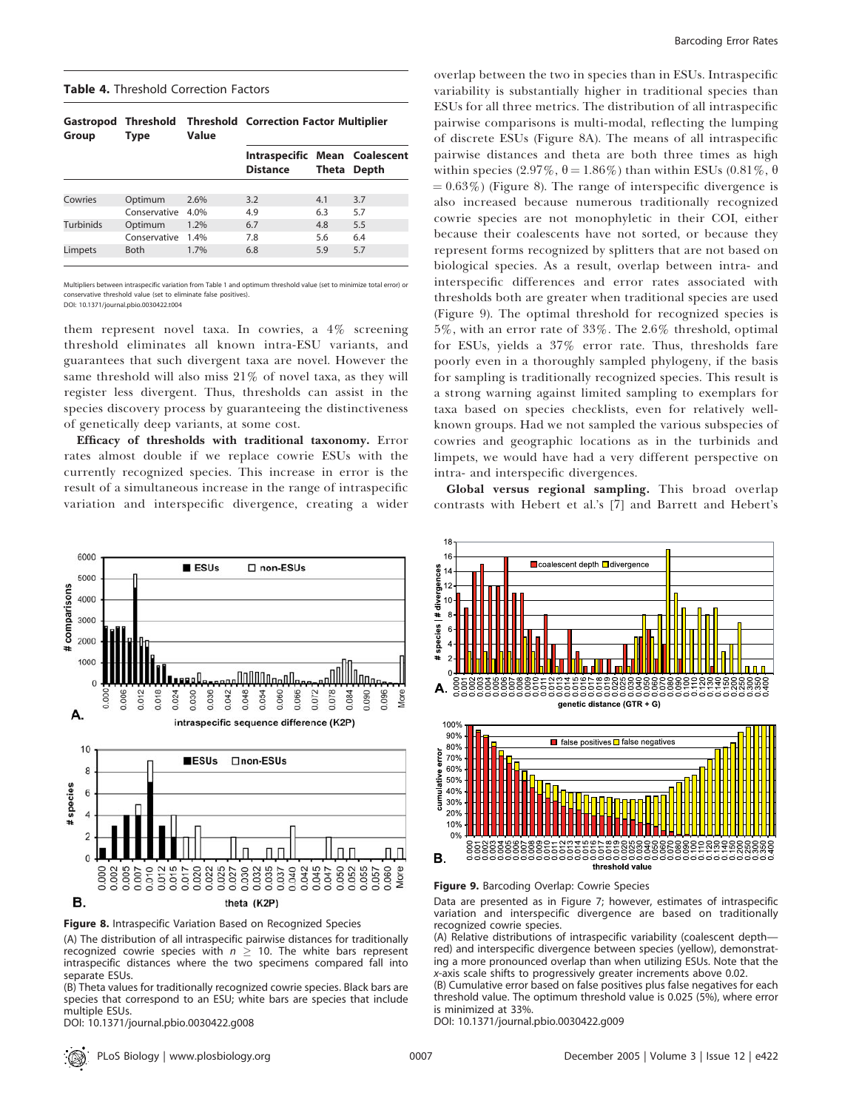## Table 4. Threshold Correction Factors

| Gastropod Threshold<br>Group | <b>Type</b>  | Value | <b>Threshold Correction Factor Multiplier</b>    |     |             |  |
|------------------------------|--------------|-------|--------------------------------------------------|-----|-------------|--|
|                              |              |       | Intraspecific Mean Coalescent<br><b>Distance</b> |     | Theta Depth |  |
|                              |              |       |                                                  |     |             |  |
| Cowries                      | Optimum      | 2.6%  | 3.2                                              | 4.1 | 3.7         |  |
|                              | Conservative | 4.0%  | 4.9                                              | 6.3 | 5.7         |  |
| <b>Turbinids</b>             | Optimum      | 1.2%  | 6.7                                              | 4.8 | 5.5         |  |
|                              | Conservative | 1.4%  | 7.8                                              | 5.6 | 6.4         |  |
| Limpets                      | <b>Both</b>  | 1.7%  | 6.8                                              | 5.9 | 5.7         |  |

Multipliers between intraspecific variation from Table 1 and optimum threshold value (set to minimize total error) o conservative threshold value (set to eliminate false positives). DOI: 10.1371/journal.pbio.0030422.t004

them represent novel taxa. In cowries, a 4% screening threshold eliminates all known intra-ESU variants, and guarantees that such divergent taxa are novel. However the same threshold will also miss 21% of novel taxa, as they will register less divergent. Thus, thresholds can assist in the species discovery process by guaranteeing the distinctiveness of genetically deep variants, at some cost.

Efficacy of thresholds with traditional taxonomy. Error rates almost double if we replace cowrie ESUs with the currently recognized species. This increase in error is the result of a simultaneous increase in the range of intraspecific variation and interspecific divergence, creating a wider



Figure 8. Intraspecific Variation Based on Recognized Species

(A) The distribution of all intraspecific pairwise distances for traditionally recognized cowrie species with  $n > 10$ . The white bars represent intraspecific distances where the two specimens compared fall into separate ESUs.

(B) Theta values for traditionally recognized cowrie species. Black bars are species that correspond to an ESU; white bars are species that include multiple ESUs.

DOI: 10.1371/journal.pbio.0030422.g008

overlap between the two in species than in ESUs. Intraspecific variability is substantially higher in traditional species than ESUs for all three metrics. The distribution of all intraspecific pairwise comparisons is multi-modal, reflecting the lumping of discrete ESUs (Figure 8A). The means of all intraspecific pairwise distances and theta are both three times as high within species (2.97%,  $\theta = 1.86\%$ ) than within ESUs (0.81%,  $\theta$ )  $= 0.63\%$ ) (Figure 8). The range of interspecific divergence is also increased because numerous traditionally recognized cowrie species are not monophyletic in their COI, either because their coalescents have not sorted, or because they represent forms recognized by splitters that are not based on biological species. As a result, overlap between intra- and interspecific differences and error rates associated with thresholds both are greater when traditional species are used (Figure 9). The optimal threshold for recognized species is 5%, with an error rate of 33%. The 2.6% threshold, optimal for ESUs, yields a 37% error rate. Thus, thresholds fare poorly even in a thoroughly sampled phylogeny, if the basis for sampling is traditionally recognized species. This result is a strong warning against limited sampling to exemplars for taxa based on species checklists, even for relatively wellknown groups. Had we not sampled the various subspecies of cowries and geographic locations as in the turbinids and limpets, we would have had a very different perspective on intra- and interspecific divergences.

Global versus regional sampling. This broad overlap contrasts with Hebert et al.'s [7] and Barrett and Hebert's



Figure 9. Barcoding Overlap: Cowrie Species

Data are presented as in Figure 7; however, estimates of intraspecific variation and interspecific divergence are based on traditionally recognized cowrie species.

(A) Relative distributions of intraspecific variability (coalescent depth red) and interspecific divergence between species (yellow), demonstrating a more pronounced overlap than when utilizing ESUs. Note that the x-axis scale shifts to progressively greater increments above 0.02.

(B) Cumulative error based on false positives plus false negatives for each threshold value. The optimum threshold value is 0.025 (5%), where error is minimized at 33%.

DOI: 10.1371/journal.pbio.0030422.g009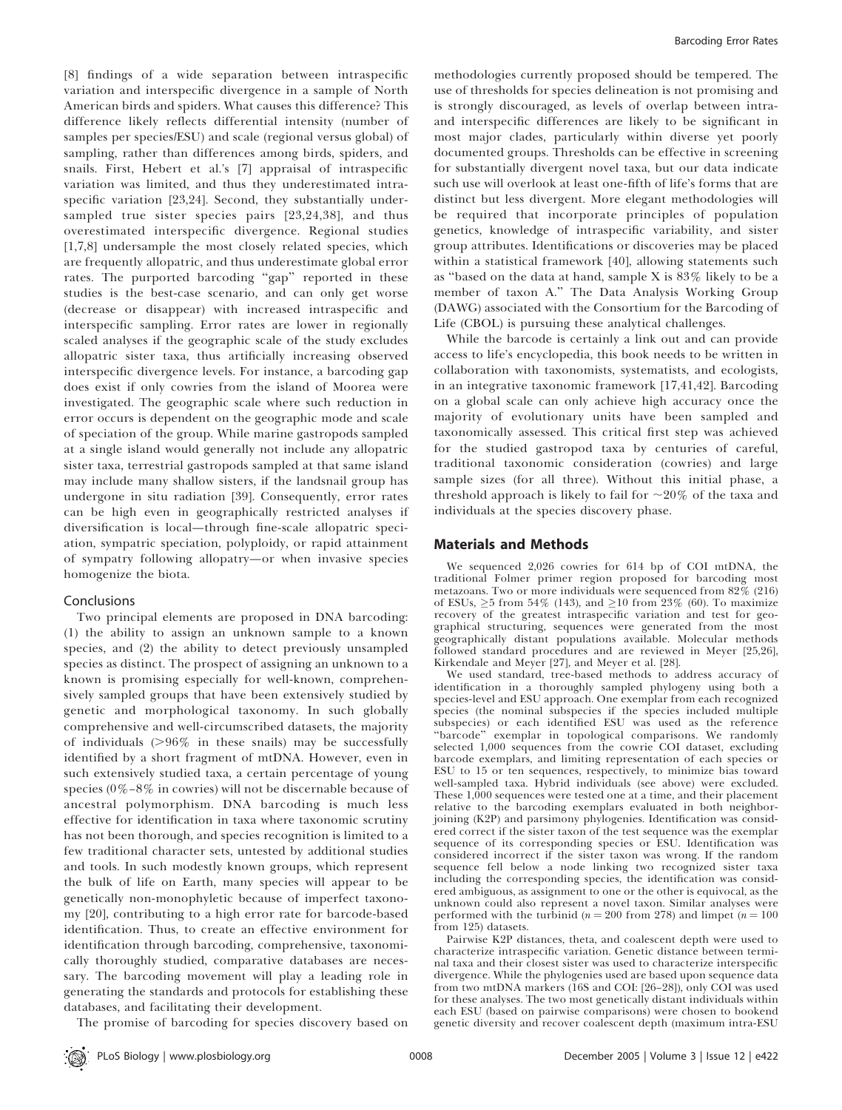[8] findings of a wide separation between intraspecific variation and interspecific divergence in a sample of North American birds and spiders. What causes this difference? This difference likely reflects differential intensity (number of samples per species/ESU) and scale (regional versus global) of sampling, rather than differences among birds, spiders, and snails. First, Hebert et al.'s [7] appraisal of intraspecific variation was limited, and thus they underestimated intraspecific variation [23,24]. Second, they substantially undersampled true sister species pairs [23,24,38], and thus overestimated interspecific divergence. Regional studies [1,7,8] undersample the most closely related species, which are frequently allopatric, and thus underestimate global error rates. The purported barcoding "gap" reported in these studies is the best-case scenario, and can only get worse (decrease or disappear) with increased intraspecific and interspecific sampling. Error rates are lower in regionally scaled analyses if the geographic scale of the study excludes allopatric sister taxa, thus artificially increasing observed interspecific divergence levels. For instance, a barcoding gap does exist if only cowries from the island of Moorea were investigated. The geographic scale where such reduction in error occurs is dependent on the geographic mode and scale of speciation of the group. While marine gastropods sampled at a single island would generally not include any allopatric sister taxa, terrestrial gastropods sampled at that same island may include many shallow sisters, if the landsnail group has undergone in situ radiation [39]. Consequently, error rates can be high even in geographically restricted analyses if diversification is local—through fine-scale allopatric speciation, sympatric speciation, polyploidy, or rapid attainment of sympatry following allopatry—or when invasive species homogenize the biota.

## Conclusions

Two principal elements are proposed in DNA barcoding: (1) the ability to assign an unknown sample to a known species, and (2) the ability to detect previously unsampled species as distinct. The prospect of assigning an unknown to a known is promising especially for well-known, comprehensively sampled groups that have been extensively studied by genetic and morphological taxonomy. In such globally comprehensive and well-circumscribed datasets, the majority of individuals  $(>96\%$  in these snails) may be successfully identified by a short fragment of mtDNA. However, even in such extensively studied taxa, a certain percentage of young species (0%–8% in cowries) will not be discernable because of ancestral polymorphism. DNA barcoding is much less effective for identification in taxa where taxonomic scrutiny has not been thorough, and species recognition is limited to a few traditional character sets, untested by additional studies and tools. In such modestly known groups, which represent the bulk of life on Earth, many species will appear to be genetically non-monophyletic because of imperfect taxonomy [20], contributing to a high error rate for barcode-based identification. Thus, to create an effective environment for identification through barcoding, comprehensive, taxonomically thoroughly studied, comparative databases are necessary. The barcoding movement will play a leading role in generating the standards and protocols for establishing these databases, and facilitating their development.

The promise of barcoding for species discovery based on

methodologies currently proposed should be tempered. The use of thresholds for species delineation is not promising and is strongly discouraged, as levels of overlap between intraand interspecific differences are likely to be significant in most major clades, particularly within diverse yet poorly documented groups. Thresholds can be effective in screening for substantially divergent novel taxa, but our data indicate such use will overlook at least one-fifth of life's forms that are distinct but less divergent. More elegant methodologies will be required that incorporate principles of population genetics, knowledge of intraspecific variability, and sister group attributes. Identifications or discoveries may be placed within a statistical framework [40], allowing statements such as ''based on the data at hand, sample X is 83% likely to be a member of taxon A.'' The Data Analysis Working Group (DAWG) associated with the Consortium for the Barcoding of Life (CBOL) is pursuing these analytical challenges.

While the barcode is certainly a link out and can provide access to life's encyclopedia, this book needs to be written in collaboration with taxonomists, systematists, and ecologists, in an integrative taxonomic framework [17,41,42]. Barcoding on a global scale can only achieve high accuracy once the majority of evolutionary units have been sampled and taxonomically assessed. This critical first step was achieved for the studied gastropod taxa by centuries of careful, traditional taxonomic consideration (cowries) and large sample sizes (for all three). Without this initial phase, a threshold approach is likely to fail for  $\sim$ 20% of the taxa and individuals at the species discovery phase.

# Materials and Methods

We sequenced 2,026 cowries for 614 bp of COI mtDNA, the traditional Folmer primer region proposed for barcoding most metazoans. Two or more individuals were sequenced from 82% (216) of ESUs,  $\geq 5$  from 54% (143), and  $\geq 10$  from 23% (60). To maximize recovery of the greatest intraspecific variation and test for geographical structuring, sequences were generated from the most geographically distant populations available. Molecular methods followed standard procedures and are reviewed in Meyer [25,26], Kirkendale and Meyer [27], and Meyer et al. [28].

We used standard, tree-based methods to address accuracy of identification in a thoroughly sampled phylogeny using both a species-level and ESU approach. One exemplar from each recognized species (the nominal subspecies if the species included multiple subspecies) or each identified ESU was used as the reference "barcode" exemplar in topological comparisons. We randomly selected 1,000 sequences from the cowrie COI dataset, excluding barcode exemplars, and limiting representation of each species or ESU to 15 or ten sequences, respectively, to minimize bias toward well-sampled taxa. Hybrid individuals (see above) were excluded. These  $1,000$  sequences were tested one at a time, and their placement relative to the barcoding exemplars evaluated in both neighborjoining (K2P) and parsimony phylogenies. Identification was considered correct if the sister taxon of the test sequence was the exemplar sequence of its corresponding species or ESU. Identification was considered incorrect if the sister taxon was wrong. If the random sequence fell below a node linking two recognized sister taxa including the corresponding species, the identification was considered ambiguous, as assignment to one or the other is equivocal, as the unknown could also represent a novel taxon. Similar analyses were performed with the turbinid ( $n = 200$  from 278) and limpet ( $n = 100$ ) from 125) datasets.

Pairwise K2P distances, theta, and coalescent depth were used to characterize intraspecific variation. Genetic distance between terminal taxa and their closest sister was used to characterize interspecific divergence. While the phylogenies used are based upon sequence data from two mtDNA markers (16S and COI: [26-28]), only COI was used for these analyses. The two most genetically distant individuals within each ESU (based on pairwise comparisons) were chosen to bookend genetic diversity and recover coalescent depth (maximum intra-ESU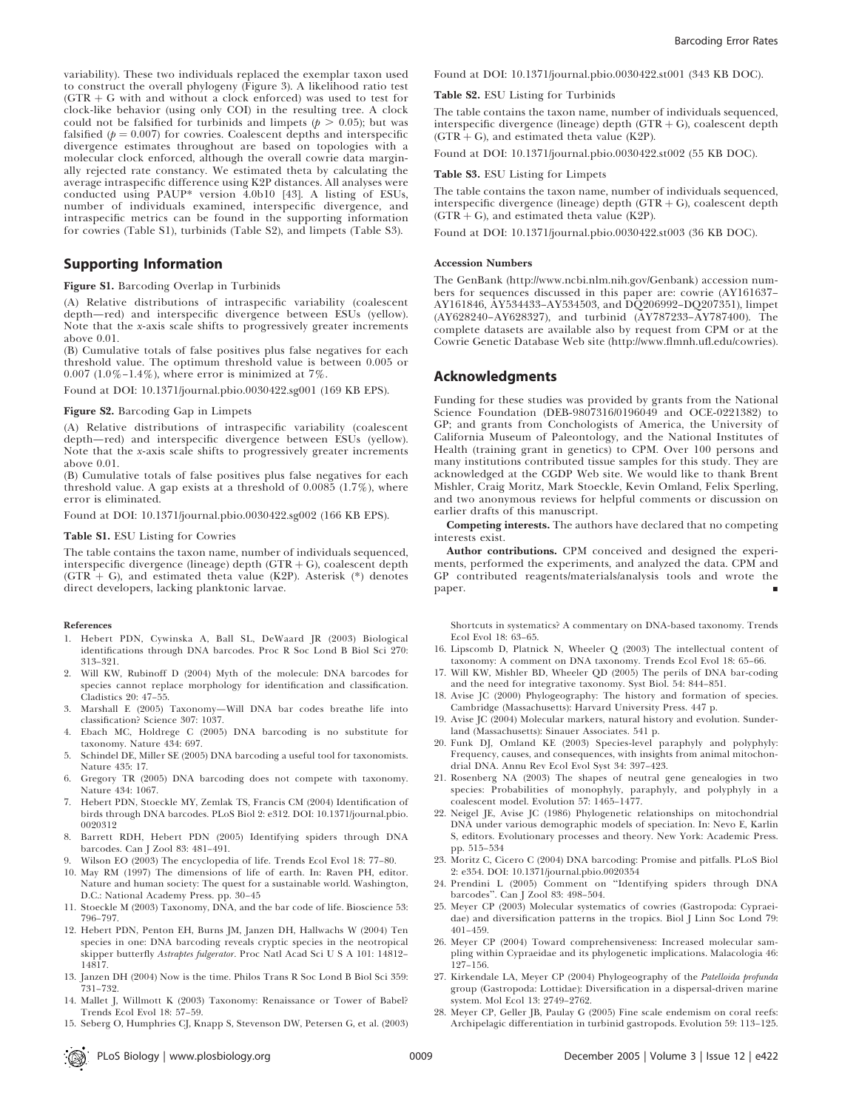variability). These two individuals replaced the exemplar taxon used to construct the overall phylogeny (Figure 3). A likelihood ratio test  $(GTR + G$  with and without a clock enforced) was used to test for clock-like behavior (using only COI) in the resulting tree. A clock could not be falsified for turbinids and limpets ( $p > 0.05$ ); but was falsified ( $p = 0.007$ ) for cowries. Coalescent depths and interspecific divergence estimates throughout are based on topologies with a molecular clock enforced, although the overall cowrie data marginally rejected rate constancy. We estimated theta by calculating the average intraspecific difference using K2P distances. All analyses were conducted using PAUP\* version 4.0b10 [43]. A listing of ESUs, number of individuals examined, interspecific divergence, and intraspecific metrics can be found in the supporting information for cowries (Table S1), turbinids (Table S2), and limpets (Table S3).

# Supporting Information

#### Figure S1. Barcoding Overlap in Turbinids

(A) Relative distributions of intraspecific variability (coalescent depth—red) and interspecific divergence between ESUs (yellow). Note that the x-axis scale shifts to progressively greater increments above 0.01.

(B) Cumulative totals of false positives plus false negatives for each threshold value. The optimum threshold value is between 0.005 or 0.007 (1.0%–1.4%), where error is minimized at  $7\%$ .

Found at DOI: 10.1371/journal.pbio.0030422.sg001 (169 KB EPS).

### Figure S2. Barcoding Gap in Limpets

(A) Relative distributions of intraspecific variability (coalescent depth—red) and interspecific divergence between ESUs (yellow). Note that the x-axis scale shifts to progressively greater increments above 0.01.

(B) Cumulative totals of false positives plus false negatives for each threshold value. A gap exists at a threshold of  $0.0085$  (1.7%), where error is eliminated.

Found at DOI: 10.1371/journal.pbio.0030422.sg002 (166 KB EPS).

#### Table S1. ESU Listing for Cowries

The table contains the taxon name, number of individuals sequenced, interspecific divergence (lineage) depth  $(GTR + G)$ , coalescent depth  $(GTR + G)$ , and estimated theta value (K2P). Asterisk (\*) denotes direct developers, lacking planktonic larvae.

### References

- 1. Hebert PDN, Cywinska A, Ball SL, DeWaard JR (2003) Biological identifications through DNA barcodes. Proc R Soc Lond B Biol Sci 270: 313–321.
- 2. Will KW, Rubinoff D (2004) Myth of the molecule: DNA barcodes for species cannot replace morphology for identification and classification. Cladistics 20: 47–55.
- 3. Marshall E (2005) Taxonomy—Will DNA bar codes breathe life into classification? Science 307: 1037.
- 4. Ebach MC, Holdrege C (2005) DNA barcoding is no substitute for taxonomy. Nature 434: 697.
- 5. Schindel DE, Miller SE (2005) DNA barcoding a useful tool for taxonomists. Nature 435: 17.
- 6. Gregory TR (2005) DNA barcoding does not compete with taxonomy. Nature 434: 1067.
- 7. Hebert PDN, Stoeckle MY, Zemlak TS, Francis CM (2004) Identification of birds through DNA barcodes. PLoS Biol 2: e312. DOI: 10.1371/journal.pbio. 0020312
- 8. Barrett RDH, Hebert PDN (2005) Identifying spiders through DNA barcodes. Can J Zool 83: 481–491.
- 9. Wilson EO (2003) The encyclopedia of life. Trends Ecol Evol 18: 77–80.
- 10. May RM (1997) The dimensions of life of earth. In: Raven PH, editor. Nature and human society: The quest for a sustainable world. Washington, D.C.: National Academy Press. pp. 30–45
- 11. Stoeckle M (2003) Taxonomy, DNA, and the bar code of life. Bioscience 53: 796–797.
- 12. Hebert PDN, Penton EH, Burns JM, Janzen DH, Hallwachs W (2004) Ten species in one: DNA barcoding reveals cryptic species in the neotropical skipper butterfly Astraptes fulgerator. Proc Natl Acad Sci U S A 101: 14812– 14817.
- 13. Janzen DH (2004) Now is the time. Philos Trans R Soc Lond B Biol Sci 359: 731–732.
- 14. Mallet J, Willmott K (2003) Taxonomy: Renaissance or Tower of Babel? Trends Ecol Evol 18: 57–59.
- 15. Seberg O, Humphries CJ, Knapp S, Stevenson DW, Petersen G, et al. (2003)

Found at DOI: 10.1371/journal.pbio.0030422.st001 (343 KB DOC).

Table S2. ESU Listing for Turbinids

The table contains the taxon name, number of individuals sequenced, interspecific divergence (lineage) depth  $(GTR + G)$ , coalescent depth  $(GTR + G)$ , and estimated theta value (K2P).

Found at DOI: 10.1371/journal.pbio.0030422.st002 (55 KB DOC).

#### Table S3. ESU Listing for Limpets

The table contains the taxon name, number of individuals sequenced, interspecific divergence (lineage) depth  $(GTR + G)$ , coalescent depth  $(GTR + G)$ , and estimated theta value (K2P).

Found at DOI: 10.1371/journal.pbio.0030422.st003 (36 KB DOC).

#### Accession Numbers

The GenBank (http://www.ncbi.nlm.nih.gov/Genbank) accession numbers for sequences discussed in this paper are: cowrie (AY161637– AY161846, AY534433–AY534503, and DQ206992–DQ207351), limpet (AY628240–AY628327), and turbinid (AY787233–AY787400). The complete datasets are available also by request from CPM or at the Cowrie Genetic Database Web site (http://www.flmnh.ufl.edu/cowries).

# Acknowledgments

Funding for these studies was provided by grants from the National Science Foundation (DEB-9807316/0196049 and OCE-0221382) to GP; and grants from Conchologists of America, the University of California Museum of Paleontology, and the National Institutes of Health (training grant in genetics) to CPM. Over 100 persons and many institutions contributed tissue samples for this study. They are acknowledged at the CGDP Web site. We would like to thank Brent Mishler, Craig Moritz, Mark Stoeckle, Kevin Omland, Felix Sperling, and two anonymous reviews for helpful comments or discussion on earlier drafts of this manuscript.

Competing interests. The authors have declared that no competing interests exist.

Author contributions. CPM conceived and designed the experiments, performed the experiments, and analyzed the data. CPM and GP contributed reagents/materials/analysis tools and wrote the paper.

Shortcuts in systematics? A commentary on DNA-based taxonomy. Trends Ecol Evol 18: 63–65.

- 16. Lipscomb D, Platnick N, Wheeler Q (2003) The intellectual content of taxonomy: A comment on DNA taxonomy. Trends Ecol Evol 18: 65–66.
- 17. Will KW, Mishler BD, Wheeler QD (2005) The perils of DNA bar-coding and the need for integrative taxonomy. Syst Biol. 54: 844–851.
- 18. Avise JC (2000) Phylogeography: The history and formation of species. Cambridge (Massachusetts): Harvard University Press. 447 p.
- 19. Avise JC (2004) Molecular markers, natural history and evolution. Sunderland (Massachusetts): Sinauer Associates. 541 p.
- 20. Funk DJ, Omland KE (2003) Species-level paraphyly and polyphyly: Frequency, causes, and consequences, with insights from animal mitochondrial DNA. Annu Rev Ecol Evol Syst 34: 397–423.
- 21. Rosenberg NA (2003) The shapes of neutral gene genealogies in two species: Probabilities of monophyly, paraphyly, and polyphyly in a coalescent model. Evolution 57: 1465–1477.
- 22. Neigel JE, Avise JC (1986) Phylogenetic relationships on mitochondrial DNA under various demographic models of speciation. In: Nevo E, Karlin S, editors. Evolutionary processes and theory. New York: Academic Press. pp. 515–534
- 23. Moritz C, Cicero C (2004) DNA barcoding: Promise and pitfalls. PLoS Biol 2: e354. DOI: 10.1371/journal.pbio.0020354
- 24. Prendini L (2005) Comment on ''Identifying spiders through DNA barcodes''. Can J Zool 83: 498–504.
- 25. Meyer CP (2003) Molecular systematics of cowries (Gastropoda: Cypraeidae) and diversification patterns in the tropics. Biol J Linn Soc Lond 79: 401–459.
- 26. Meyer CP (2004) Toward comprehensiveness: Increased molecular sampling within Cypraeidae and its phylogenetic implications. Malacologia 46: 127–156.
- 27. Kirkendale LA, Meyer CP (2004) Phylogeography of the Patelloida profunda group (Gastropoda: Lottidae): Diversification in a dispersal-driven marine system. Mol Ecol 13: 2749–2762.
- 28. Meyer CP, Geller JB, Paulay G (2005) Fine scale endemism on coral reefs: Archipelagic differentiation in turbinid gastropods. Evolution 59: 113–125.